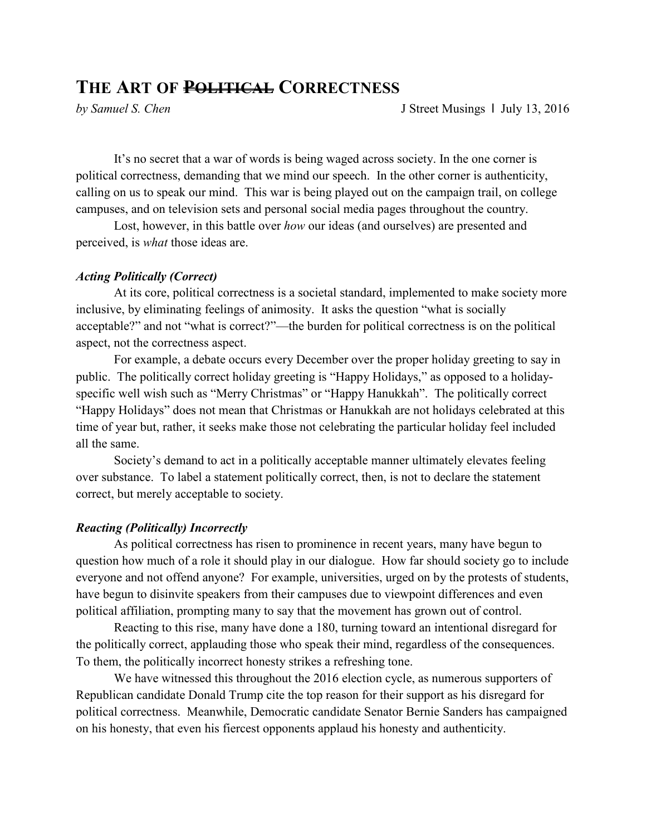## **THE ART OF POLITICAL CORRECTNESS**

*by Samuel S. Chen* J Street Musings 1 July 13, 2016

 It's no secret that a war of words is being waged across society. In the one corner is political correctness, demanding that we mind our speech. In the other corner is authenticity, calling on us to speak our mind. This war is being played out on the campaign trail, on college campuses, and on television sets and personal social media pages throughout the country.

 Lost, however, in this battle over *how* our ideas (and ourselves) are presented and perceived, is *what* those ideas are.

## *Acting Politically (Correct)*

 At its core, political correctness is a societal standard, implemented to make society more inclusive, by eliminating feelings of animosity. It asks the question "what is socially acceptable?" and not "what is correct?"—the burden for political correctness is on the political aspect, not the correctness aspect.

 For example, a debate occurs every December over the proper holiday greeting to say in public. The politically correct holiday greeting is "Happy Holidays," as opposed to a holidayspecific well wish such as "Merry Christmas" or "Happy Hanukkah". The politically correct "Happy Holidays" does not mean that Christmas or Hanukkah are not holidays celebrated at this time of year but, rather, it seeks make those not celebrating the particular holiday feel included all the same.

 Society's demand to act in a politically acceptable manner ultimately elevates feeling over substance. To label a statement politically correct, then, is not to declare the statement correct, but merely acceptable to society.

## *Reacting (Politically) Incorrectly*

 As political correctness has risen to prominence in recent years, many have begun to question how much of a role it should play in our dialogue. How far should society go to include everyone and not offend anyone? For example, universities, urged on by the protests of students, have begun to disinvite speakers from their campuses due to viewpoint differences and even political affiliation, prompting many to say that the movement has grown out of control.

 Reacting to this rise, many have done a 180, turning toward an intentional disregard for the politically correct, applauding those who speak their mind, regardless of the consequences. To them, the politically incorrect honesty strikes a refreshing tone.

 We have witnessed this throughout the 2016 election cycle, as numerous supporters of Republican candidate Donald Trump cite the top reason for their support as his disregard for political correctness. Meanwhile, Democratic candidate Senator Bernie Sanders has campaigned on his honesty, that even his fiercest opponents applaud his honesty and authenticity.